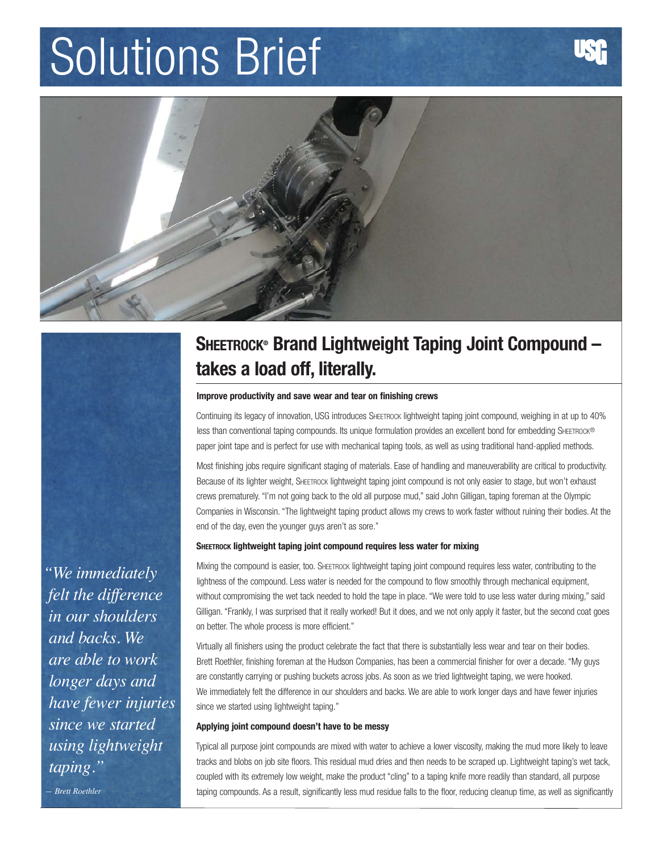# Solutions Brief



## **Sheetrock® Brand Lightweight Taping Joint Compound – takes a load off, literally.**

#### **Improve productivity and save wear and tear on finishing crews**

Continuing its legacy of innovation, USG introduces SHEETROCK lightweight taping joint compound, weighing in at up to 40% less than conventional taping compounds. Its unique formulation provides an excellent bond for embedding SHEETROCK® paper joint tape and is perfect for use with mechanical taping tools, as well as using traditional hand-applied methods.

Most finishing jobs require significant staging of materials. Ease of handling and maneuverability are critical to productivity. Because of its lighter weight, SHEETROCK lightweight taping joint compound is not only easier to stage, but won't exhaust crews prematurely. "I'm not going back to the old all purpose mud," said John Gilligan, taping foreman at the Olympic Companies in Wisconsin. "The lightweight taping product allows my crews to work faster without ruining their bodies. At the end of the day, even the younger guys aren't as sore."

### **Sheetrock lightweight taping joint compound requires less water for mixing**

Mixing the compound is easier, too. SHEETROCK lightweight taping joint compound requires less water, contributing to the lightness of the compound. Less water is needed for the compound to flow smoothly through mechanical equipment, without compromising the wet tack needed to hold the tape in place. "We were told to use less water during mixing," said Gilligan. "Frankly, I was surprised that it really worked! But it does, and we not only apply it faster, but the second coat goes on better. The whole process is more efficient."

Virtually all finishers using the product celebrate the fact that there is substantially less wear and tear on their bodies. Brett Roethler, finishing foreman at the Hudson Companies, has been a commercial finisher for over a decade. "My guys are constantly carrying or pushing buckets across jobs. As soon as we tried lightweight taping, we were hooked. We immediately felt the difference in our shoulders and backs. We are able to work longer days and have fewer injuries since we started using lightweight taping."

### **Applying joint compound doesn't have to be messy**

Typical all purpose joint compounds are mixed with water to achieve a lower viscosity, making the mud more likely to leave tracks and blobs on job site floors. This residual mud dries and then needs to be scraped up. Lightweight taping's wet tack, coupled with its extremely low weight, make the product "cling" to a taping knife more readily than standard, all purpose taping compounds. As a result, significantly less mud residue falls to the floor, reducing cleanup time, as well as significantly

*"We immediately felt the difference in our shoulders and backs. We are able to work longer days and have fewer injuries since we started using lightweight taping."*

*— Brett Roethler*